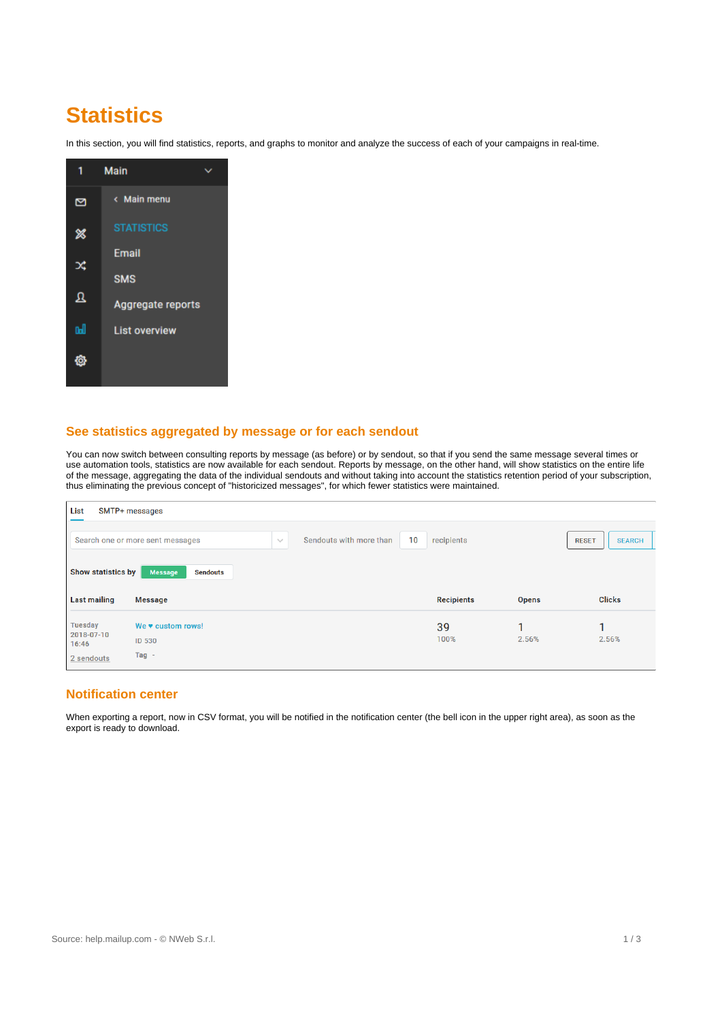# **Statistics**

In this section, you will find statistics, reports, and graphs to monitor and analyze the success of each of your campaigns in real-time.

|    | <b>Main</b>          |  |
|----|----------------------|--|
| ⊠  | < Main menu          |  |
| ℁  | <b>STATISTICS</b>    |  |
| x  | <b>Email</b>         |  |
|    | <b>SMS</b>           |  |
| Ջ  | Aggregate reports    |  |
| a. | <b>List overview</b> |  |
|    |                      |  |

## **See statistics aggregated by message or for each sendout**

You can now switch between consulting reports by message (as before) or by sendout, so that if you send the same message several times or use automation tools, statistics are now available for each sendout. Reports by message, on the other hand, will show statistics on the entire life of the message, aggregating the data of the individual sendouts and without taking into account the statistics retention period of your subscription, thus eliminating the previous concept of "historicized messages", for which fewer statistics were maintained.

| List<br>SMTP+ messages                           |                                                     |                                         |                   |              |                               |  |  |  |  |  |
|--------------------------------------------------|-----------------------------------------------------|-----------------------------------------|-------------------|--------------|-------------------------------|--|--|--|--|--|
|                                                  | Search one or more sent messages                    | 10<br>Sendouts with more than<br>$\sim$ | recipients        |              | <b>SEARCH</b><br><b>RESET</b> |  |  |  |  |  |
| <b>Show statistics by</b><br><b>Last mailing</b> | <b>Message</b><br><b>Sendouts</b><br><b>Message</b> |                                         | <b>Recipients</b> | <b>Opens</b> | <b>Clicks</b>                 |  |  |  |  |  |
|                                                  |                                                     |                                         |                   |              |                               |  |  |  |  |  |
| Tuesday<br>2018-07-10                            | We v custom rows!                                   |                                         | 39                | 1            | 1                             |  |  |  |  |  |

### **Notification center**

When exporting a report, now in CSV format, you will be notified in the notification center (the bell icon in the upper right area), as soon as the export is ready to download.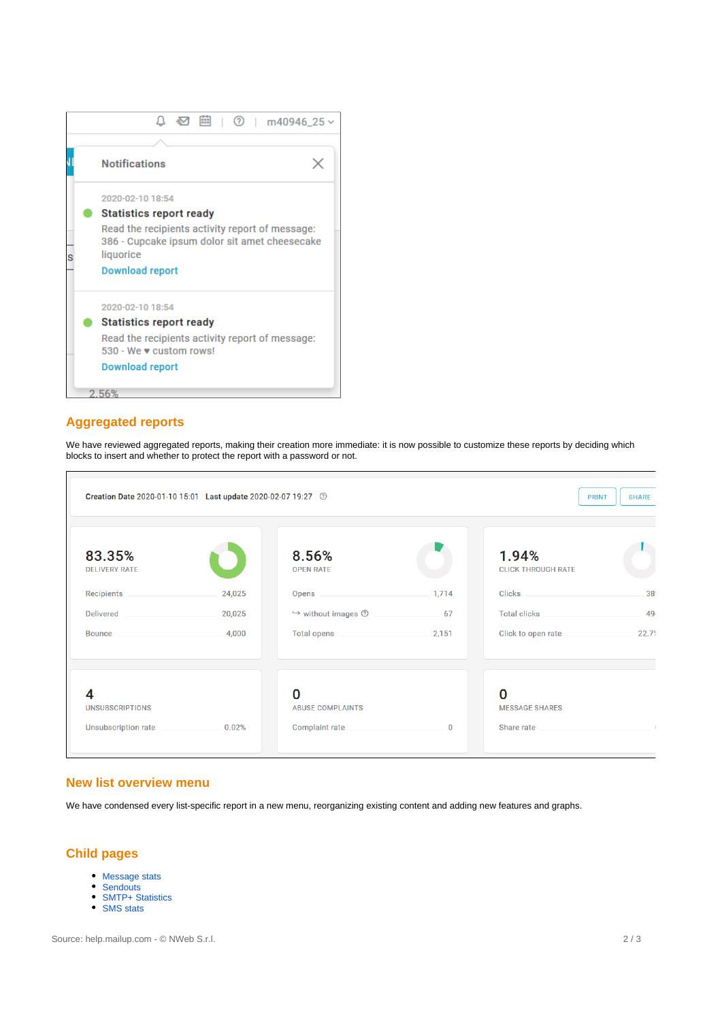

## **Aggregated reports**

We have reviewed aggregated reports, making their creation more immediate: it is now possible to customize these reports by deciding which blocks to insert and whether to protect the report with a password or not.

| Creation Date 2020-01-10 15:01 Last update 2020-02-07 19:27 0<br><b>PRINT</b> |        |                                                                                                                                                                                                                                      |             |                                    |       |
|-------------------------------------------------------------------------------|--------|--------------------------------------------------------------------------------------------------------------------------------------------------------------------------------------------------------------------------------------|-------------|------------------------------------|-------|
| 83.35%<br><b>DELIVERY RATE</b>                                                |        | 8.56%<br><b>OPEN RATE</b>                                                                                                                                                                                                            |             | 1.94%<br><b>CLICK THROUGH RATE</b> |       |
| Recipients                                                                    | 24,025 | Opens                                                                                                                                                                                                                                | 1,714       | <b>Clicks Clicks</b>               | 389   |
| <b>Delivered</b>                                                              | 20,025 | $\mapsto$ without images $\circled{2}$                                                                                                                                                                                               | 67          | Total clicks                       | 49    |
| <b>Bounce</b>                                                                 | 4,000  | Total opens <b>All According to the Contract of According to the Contract of According to According the Contract of According to According the Contract of According to According the Contract of According to According the Con</b> | 2,151       | Click to open rate                 | 22.79 |
| 4                                                                             |        | O                                                                                                                                                                                                                                    |             | O                                  |       |
| <b>UNSUBSCRIPTIONS</b>                                                        |        | <b>ABUSE COMPLAINTS</b>                                                                                                                                                                                                              |             | <b>MESSAGE SHARES</b>              |       |
| Unsubscription rate                                                           | 0.02%  | Complaint rate                                                                                                                                                                                                                       | $\mathbf 0$ | Share rate                         |       |

### **New list overview menu**

We have condensed every list-specific report in a new menu, reorganizing existing content and adding new features and graphs.

# **Child pages**

- [Message stats](https://help.mailup.com/display/MUG/Message+stats)
- [Sendouts](https://help.mailup.com/display/MUG/Sendouts)
- [SMTP+ Statistics](https://help.mailup.com/pages/viewpage.action?pageId=80282502)
- [SMS stats](https://help.mailup.com/display/MUG/SMS+stats)

Source: help.mailup.com - © NWeb S.r.l. 2 / 3